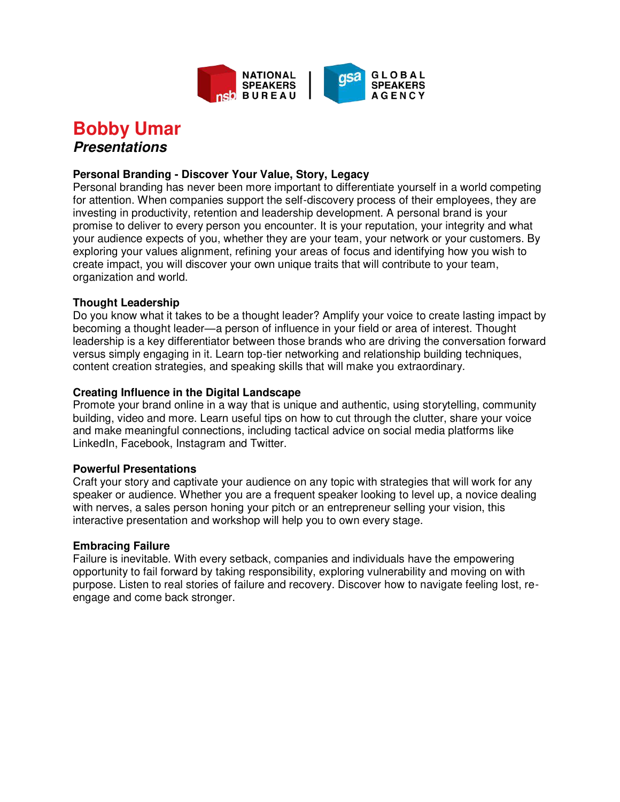

# **Bobby Umar Presentations**

# **Personal Branding - Discover Your Value, Story, Legacy**

Personal branding has never been more important to differentiate yourself in a world competing for attention. When companies support the self-discovery process of their employees, they are investing in productivity, retention and leadership development. A personal brand is your promise to deliver to every person you encounter. It is your reputation, your integrity and what your audience expects of you, whether they are your team, your network or your customers. By exploring your values alignment, refining your areas of focus and identifying how you wish to create impact, you will discover your own unique traits that will contribute to your team, organization and world.

## **Thought Leadership**

Do you know what it takes to be a thought leader? Amplify your voice to create lasting impact by becoming a thought leader—a person of influence in your field or area of interest. Thought leadership is a key differentiator between those brands who are driving the conversation forward versus simply engaging in it. Learn top-tier networking and relationship building techniques, content creation strategies, and speaking skills that will make you extraordinary.

## **Creating Influence in the Digital Landscape**

Promote your brand online in a way that is unique and authentic, using storytelling, community building, video and more. Learn useful tips on how to cut through the clutter, share your voice and make meaningful connections, including tactical advice on social media platforms like LinkedIn, Facebook, Instagram and Twitter.

#### **Powerful Presentations**

Craft your story and captivate your audience on any topic with strategies that will work for any speaker or audience. Whether you are a frequent speaker looking to level up, a novice dealing with nerves, a sales person honing your pitch or an entrepreneur selling your vision, this interactive presentation and workshop will help you to own every stage.

#### **Embracing Failure**

Failure is inevitable. With every setback, companies and individuals have the empowering opportunity to fail forward by taking responsibility, exploring vulnerability and moving on with purpose. Listen to real stories of failure and recovery. Discover how to navigate feeling lost, reengage and come back stronger.